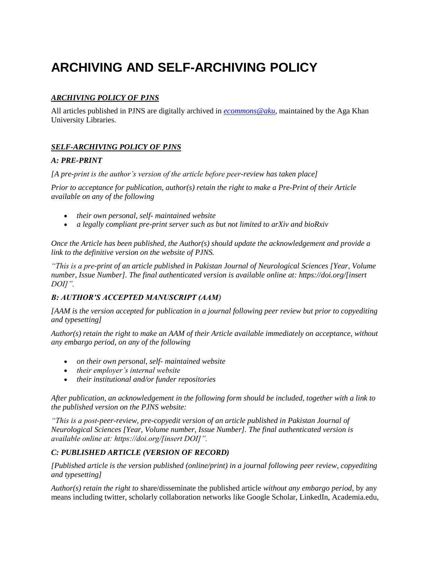# **ARCHIVING AND SELF-ARCHIVING POLICY**

## *ARCHIVING POLICY OF PJNS*

All articles published in PJNS are digitally archived in *[ecommons@aku](https://ecommons.aku.edu/#:~:text=eCommons%40AKU%20is%20a%20digital,in%20full%20text%20wherever%20possible.)*, maintained by the Aga Khan University Libraries.

### *SELF-ARCHIVING POLICY OF PJNS*

### *A: PRE-PRINT*

*[A pre-print is the author's version of the article before peer-review has taken place]*

*Prior to acceptance for publication, author(s) retain the right to make a Pre-Print of their Article available on any of the following*

- *their own personal, self- maintained website*
- *a legally compliant pre-print server such as but not limited to arXiv and bioRxiv*

*Once the Article has been published, the Author(s) should update the acknowledgement and provide a link to the definitive version on the website of PJNS.*

*"This is a pre-print of an article published in Pakistan Journal of Neurological Sciences [Year, Volume number, Issue Number]. The final authenticated version is available online at: https://doi.org/[insert DOI]".*

### *B: AUTHOR'S ACCEPTED MANUSCRIPT (AAM)*

*[AAM is the version accepted for publication in a journal following peer review but prior to copyediting and typesetting]* 

*Author(s) retain the right to make an AAM of their Article available immediately on acceptance, without any embargo period, on any of the following*

- *on their own personal, self- maintained website*
- *their employer's internal website*
- *their institutional and/or funder repositories*

*After publication, an acknowledgement in the following form should be included, together with a link to the published version on the PJNS website:*

*"This is a post-peer-review, pre-copyedit version of an article published in Pakistan Journal of Neurological Sciences [Year, Volume number, Issue Number]. The final authenticated version is available online at: https://doi.org/[insert DOI]".*

### *C: PUBLISHED ARTICLE (VERSION OF RECORD)*

*[Published article is the version published (online/print) in a journal following peer review, copyediting and typesetting]* 

*Author(s) retain the right to* share/disseminate the published article *without any embargo period,* by any means including twitter, scholarly collaboration networks like Google Scholar, LinkedIn, Academia.edu,